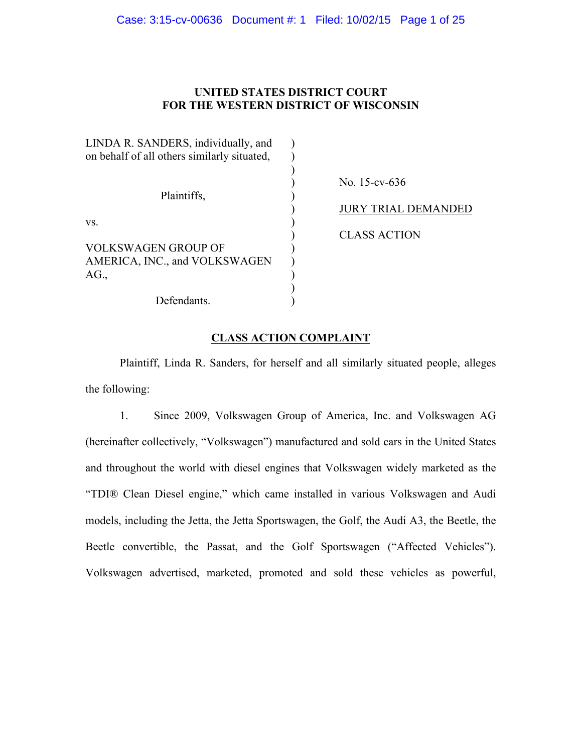# **UNITED STATES DISTRICT COURT FOR THE WESTERN DISTRICT OF WISCONSIN**

| LINDA R. SANDERS, individually, and<br>on behalf of all others similarly situated, |                            |
|------------------------------------------------------------------------------------|----------------------------|
| Plaintiffs,                                                                        | No. 15-cv-636              |
|                                                                                    | <b>JURY TRIAL DEMANDED</b> |
| VS.                                                                                |                            |
|                                                                                    | <b>CLASS ACTION</b>        |
| VOLKSWAGEN GROUP OF                                                                |                            |
| AMERICA, INC., and VOLKSWAGEN                                                      |                            |
| AG.                                                                                |                            |
|                                                                                    |                            |
| Defendants.                                                                        |                            |

# **CLASS ACTION COMPLAINT**

Plaintiff, Linda R. Sanders, for herself and all similarly situated people, alleges the following:

1. Since 2009, Volkswagen Group of America, Inc. and Volkswagen AG (hereinafter collectively, "Volkswagen") manufactured and sold cars in the United States and throughout the world with diesel engines that Volkswagen widely marketed as the "TDI® Clean Diesel engine," which came installed in various Volkswagen and Audi models, including the Jetta, the Jetta Sportswagen, the Golf, the Audi A3, the Beetle, the Beetle convertible, the Passat, and the Golf Sportswagen ("Affected Vehicles"). Volkswagen advertised, marketed, promoted and sold these vehicles as powerful,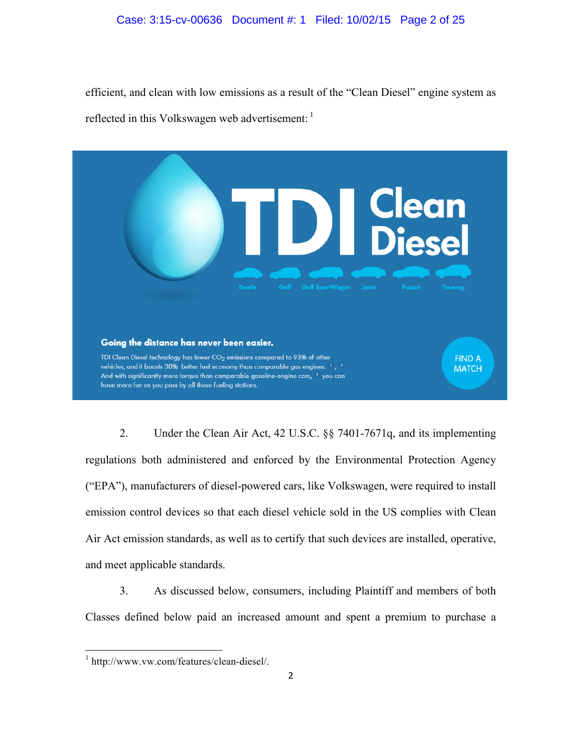efficient, and clean with low emissions as a result of the "Clean Diesel" engine system as reflected in this Volkswagen web advertisement:



2. Under the Clean Air Act, 42 U.S.C. §§ 7401-7671q, and its implementing regulations both administered and enforced by the Environmental Protection Agency ("EPA"), manufacturers of diesel-powered cars, like Volkswagen, were required to install emission control devices so that each diesel vehicle sold in the US complies with Clean Air Act emission standards, as well as to certify that such devices are installed, operative, and meet applicable standards.

3. As discussed below, consumers, including Plaintiff and members of both Classes defined below paid an increased amount and spent a premium to purchase a

<u> 1989 - Johann Stein, markin film yn y breninn y breninn y breninn y breninn y breninn y breninn y breninn y b</u>

<sup>1</sup> http://www.vw.com/features/clean-diesel/.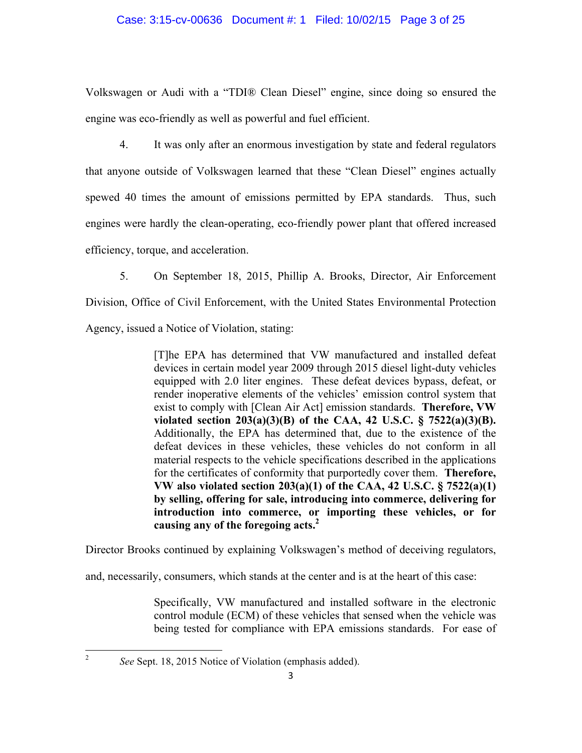### Case: 3:15-cv-00636 Document #: 1 Filed: 10/02/15 Page 3 of 25

Volkswagen or Audi with a "TDI® Clean Diesel" engine, since doing so ensured the engine was eco-friendly as well as powerful and fuel efficient.

4. It was only after an enormous investigation by state and federal regulators that anyone outside of Volkswagen learned that these "Clean Diesel" engines actually spewed 40 times the amount of emissions permitted by EPA standards. Thus, such engines were hardly the clean-operating, eco-friendly power plant that offered increased efficiency, torque, and acceleration.

5. On September 18, 2015, Phillip A. Brooks, Director, Air Enforcement

Division, Office of Civil Enforcement, with the United States Environmental Protection

Agency, issued a Notice of Violation, stating:

[T]he EPA has determined that VW manufactured and installed defeat devices in certain model year 2009 through 2015 diesel light-duty vehicles equipped with 2.0 liter engines. These defeat devices bypass, defeat, or render inoperative elements of the vehicles' emission control system that exist to comply with [Clean Air Act] emission standards. **Therefore, VW violated section 203(a)(3)(B) of the CAA, 42 U.S.C. § 7522(a)(3)(B).**  Additionally, the EPA has determined that, due to the existence of the defeat devices in these vehicles, these vehicles do not conform in all material respects to the vehicle specifications described in the applications for the certificates of conformity that purportedly cover them. **Therefore, VW also violated section 203(a)(1) of the CAA, 42 U.S.C. § 7522(a)(1) by selling, offering for sale, introducing into commerce, delivering for introduction into commerce, or importing these vehicles, or for causing any of the foregoing acts.2**

Director Brooks continued by explaining Volkswagen's method of deceiving regulators,

and, necessarily, consumers, which stands at the center and is at the heart of this case:

Specifically, VW manufactured and installed software in the electronic control module (ECM) of these vehicles that sensed when the vehicle was being tested for compliance with EPA emissions standards. For ease of

<sup>2</sup> *See* Sept. 18, 2015 Notice of Violation (emphasis added).

<u> 1989 - Johann Stein, fransk politik (d. 1989)</u>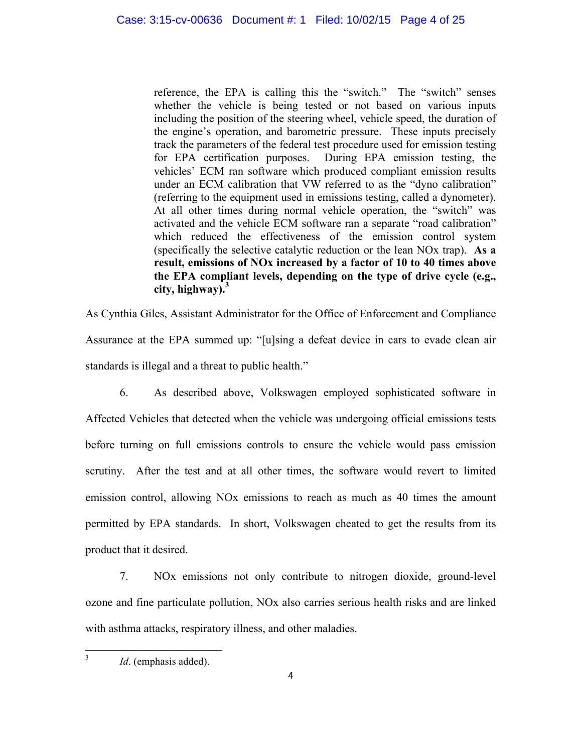reference, the EPA is calling this the "switch." The "switch" senses whether the vehicle is being tested or not based on various inputs including the position of the steering wheel, vehicle speed, the duration of the engine's operation, and barometric pressure. These inputs precisely track the parameters of the federal test procedure used for emission testing for EPA certification purposes. During EPA emission testing, the vehicles' ECM ran software which produced compliant emission results under an ECM calibration that VW referred to as the "dyno calibration" (referring to the equipment used in emissions testing, called a dynometer). At all other times during normal vehicle operation, the "switch" was activated and the vehicle ECM software ran a separate "road calibration" which reduced the effectiveness of the emission control system (specifically the selective catalytic reduction or the lean NOx trap). **As a result, emissions of NOx increased by a factor of 10 to 40 times above the EPA compliant levels, depending on the type of drive cycle (e.g., city, highway).<sup>3</sup>**

As Cynthia Giles, Assistant Administrator for the Office of Enforcement and Compliance Assurance at the EPA summed up: "[u]sing a defeat device in cars to evade clean air standards is illegal and a threat to public health."

6. As described above, Volkswagen employed sophisticated software in Affected Vehicles that detected when the vehicle was undergoing official emissions tests before turning on full emissions controls to ensure the vehicle would pass emission scrutiny. After the test and at all other times, the software would revert to limited emission control, allowing NOx emissions to reach as much as 40 times the amount permitted by EPA standards. In short, Volkswagen cheated to get the results from its product that it desired.

7. NOx emissions not only contribute to nitrogen dioxide, ground-level ozone and fine particulate pollution, NOx also carries serious health risks and are linked with asthma attacks, respiratory illness, and other maladies.

<u> 1989 - Johann Stein, fransk politik (d. 1989)</u> <sup>3</sup> *Id.* (emphasis added).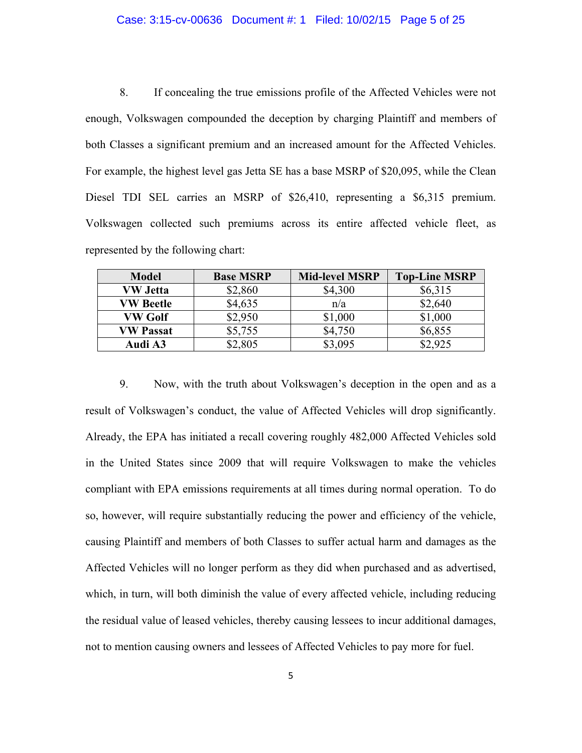#### Case: 3:15-cv-00636 Document #: 1 Filed: 10/02/15 Page 5 of 25

8. If concealing the true emissions profile of the Affected Vehicles were not enough, Volkswagen compounded the deception by charging Plaintiff and members of both Classes a significant premium and an increased amount for the Affected Vehicles. For example, the highest level gas Jetta SE has a base MSRP of \$20,095, while the Clean Diesel TDI SEL carries an MSRP of \$26,410, representing a \$6,315 premium. Volkswagen collected such premiums across its entire affected vehicle fleet, as represented by the following chart:

| <b>Model</b>     | <b>Base MSRP</b> | <b>Mid-level MSRP</b> | <b>Top-Line MSRP</b> |
|------------------|------------------|-----------------------|----------------------|
| <b>VW Jetta</b>  | \$2,860          | \$4,300               | \$6,315              |
| <b>VW Beetle</b> | \$4,635          | n/a                   | \$2,640              |
| <b>VW Golf</b>   | \$2,950          | \$1,000               | \$1,000              |
| <b>VW Passat</b> | \$5,755          | \$4,750               | \$6,855              |
| Audi A3          | \$2,805          | \$3,095               | \$2,925              |

9. Now, with the truth about Volkswagen's deception in the open and as a result of Volkswagen's conduct, the value of Affected Vehicles will drop significantly. Already, the EPA has initiated a recall covering roughly 482,000 Affected Vehicles sold in the United States since 2009 that will require Volkswagen to make the vehicles compliant with EPA emissions requirements at all times during normal operation. To do so, however, will require substantially reducing the power and efficiency of the vehicle, causing Plaintiff and members of both Classes to suffer actual harm and damages as the Affected Vehicles will no longer perform as they did when purchased and as advertised, which, in turn, will both diminish the value of every affected vehicle, including reducing the residual value of leased vehicles, thereby causing lessees to incur additional damages, not to mention causing owners and lessees of Affected Vehicles to pay more for fuel.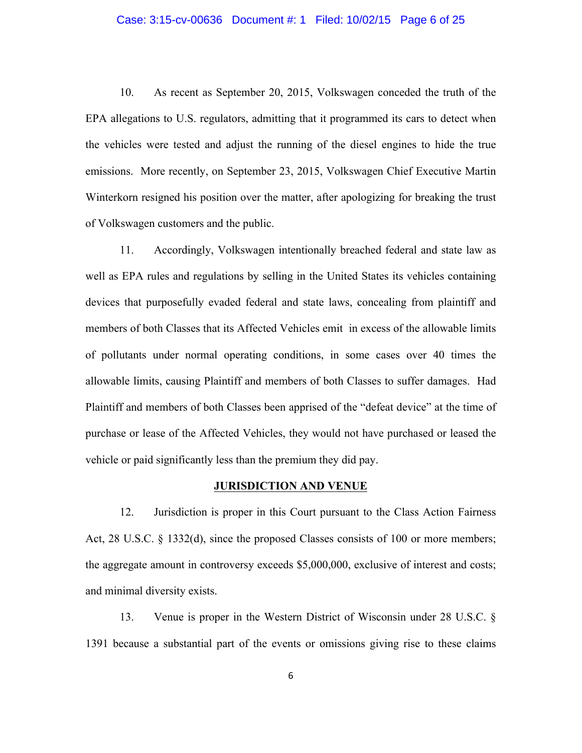#### Case: 3:15-cv-00636 Document #: 1 Filed: 10/02/15 Page 6 of 25

10. As recent as September 20, 2015, Volkswagen conceded the truth of the EPA allegations to U.S. regulators, admitting that it programmed its cars to detect when the vehicles were tested and adjust the running of the diesel engines to hide the true emissions. More recently, on September 23, 2015, Volkswagen Chief Executive Martin Winterkorn resigned his position over the matter, after apologizing for breaking the trust of Volkswagen customers and the public.

11. Accordingly, Volkswagen intentionally breached federal and state law as well as EPA rules and regulations by selling in the United States its vehicles containing devices that purposefully evaded federal and state laws, concealing from plaintiff and members of both Classes that its Affected Vehicles emit in excess of the allowable limits of pollutants under normal operating conditions, in some cases over 40 times the allowable limits, causing Plaintiff and members of both Classes to suffer damages. Had Plaintiff and members of both Classes been apprised of the "defeat device" at the time of purchase or lease of the Affected Vehicles, they would not have purchased or leased the vehicle or paid significantly less than the premium they did pay.

#### **JURISDICTION AND VENUE**

12. Jurisdiction is proper in this Court pursuant to the Class Action Fairness Act, 28 U.S.C. § 1332(d), since the proposed Classes consists of 100 or more members; the aggregate amount in controversy exceeds \$5,000,000, exclusive of interest and costs; and minimal diversity exists.

13. Venue is proper in the Western District of Wisconsin under 28 U.S.C. § 1391 because a substantial part of the events or omissions giving rise to these claims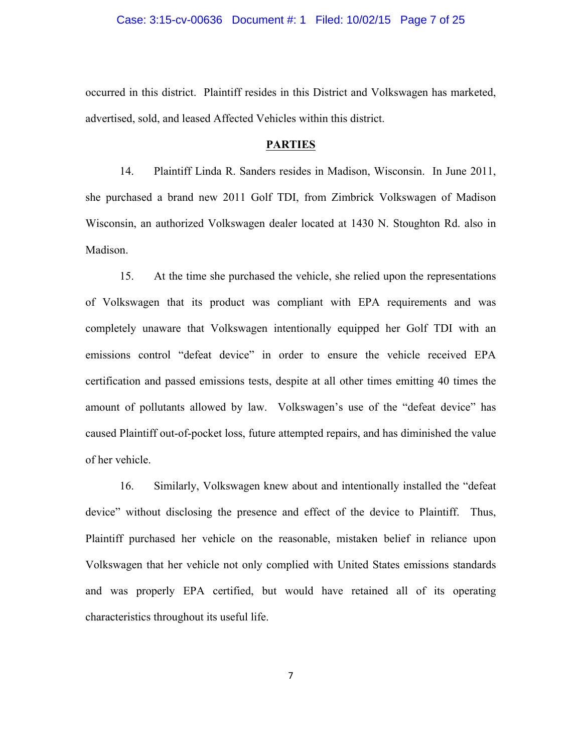#### Case: 3:15-cv-00636 Document #: 1 Filed: 10/02/15 Page 7 of 25

occurred in this district. Plaintiff resides in this District and Volkswagen has marketed, advertised, sold, and leased Affected Vehicles within this district.

#### **PARTIES**

14. Plaintiff Linda R. Sanders resides in Madison, Wisconsin. In June 2011, she purchased a brand new 2011 Golf TDI, from Zimbrick Volkswagen of Madison Wisconsin, an authorized Volkswagen dealer located at 1430 N. Stoughton Rd. also in Madison.

15. At the time she purchased the vehicle, she relied upon the representations of Volkswagen that its product was compliant with EPA requirements and was completely unaware that Volkswagen intentionally equipped her Golf TDI with an emissions control "defeat device" in order to ensure the vehicle received EPA certification and passed emissions tests, despite at all other times emitting 40 times the amount of pollutants allowed by law. Volkswagen's use of the "defeat device" has caused Plaintiff out-of-pocket loss, future attempted repairs, and has diminished the value of her vehicle.

16. Similarly, Volkswagen knew about and intentionally installed the "defeat device" without disclosing the presence and effect of the device to Plaintiff. Thus, Plaintiff purchased her vehicle on the reasonable, mistaken belief in reliance upon Volkswagen that her vehicle not only complied with United States emissions standards and was properly EPA certified, but would have retained all of its operating characteristics throughout its useful life.

7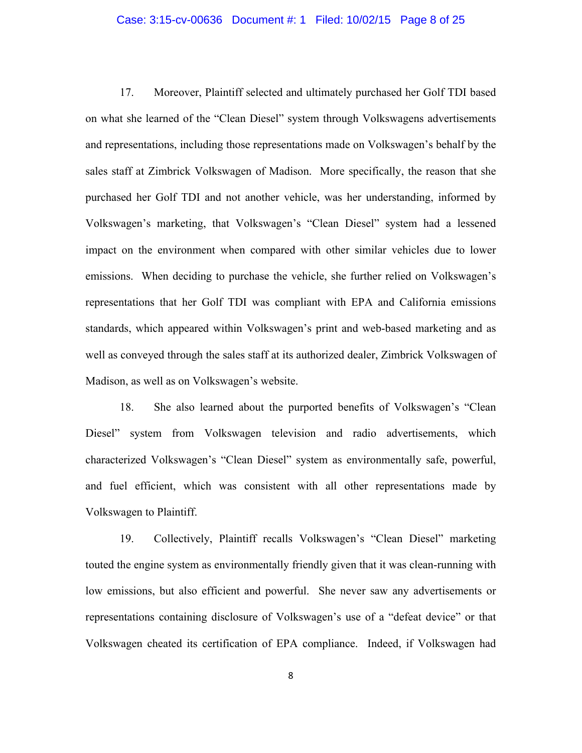#### Case: 3:15-cv-00636 Document #: 1 Filed: 10/02/15 Page 8 of 25

17. Moreover, Plaintiff selected and ultimately purchased her Golf TDI based on what she learned of the "Clean Diesel" system through Volkswagens advertisements and representations, including those representations made on Volkswagen's behalf by the sales staff at Zimbrick Volkswagen of Madison. More specifically, the reason that she purchased her Golf TDI and not another vehicle, was her understanding, informed by Volkswagen's marketing, that Volkswagen's "Clean Diesel" system had a lessened impact on the environment when compared with other similar vehicles due to lower emissions. When deciding to purchase the vehicle, she further relied on Volkswagen's representations that her Golf TDI was compliant with EPA and California emissions standards, which appeared within Volkswagen's print and web-based marketing and as well as conveyed through the sales staff at its authorized dealer, Zimbrick Volkswagen of Madison, as well as on Volkswagen's website.

18. She also learned about the purported benefits of Volkswagen's "Clean Diesel" system from Volkswagen television and radio advertisements, which characterized Volkswagen's "Clean Diesel" system as environmentally safe, powerful, and fuel efficient, which was consistent with all other representations made by Volkswagen to Plaintiff.

19. Collectively, Plaintiff recalls Volkswagen's "Clean Diesel" marketing touted the engine system as environmentally friendly given that it was clean-running with low emissions, but also efficient and powerful. She never saw any advertisements or representations containing disclosure of Volkswagen's use of a "defeat device" or that Volkswagen cheated its certification of EPA compliance. Indeed, if Volkswagen had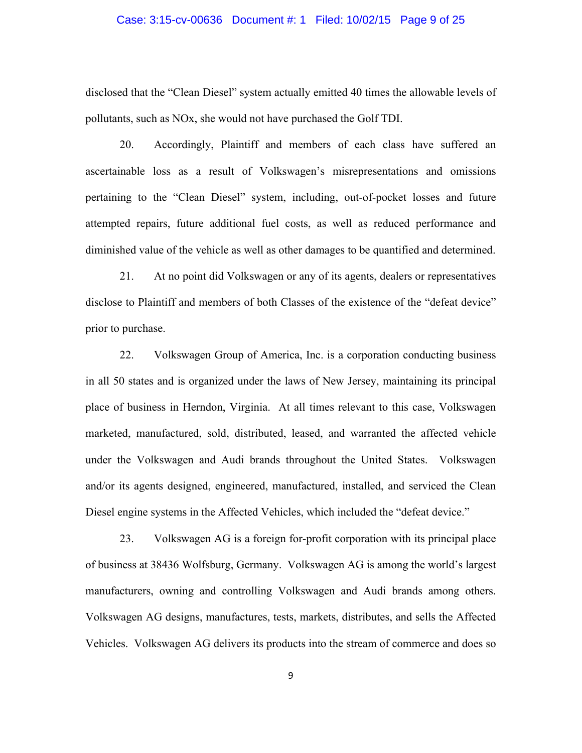#### Case: 3:15-cv-00636 Document #: 1 Filed: 10/02/15 Page 9 of 25

disclosed that the "Clean Diesel" system actually emitted 40 times the allowable levels of pollutants, such as NOx, she would not have purchased the Golf TDI.

20. Accordingly, Plaintiff and members of each class have suffered an ascertainable loss as a result of Volkswagen's misrepresentations and omissions pertaining to the "Clean Diesel" system, including, out-of-pocket losses and future attempted repairs, future additional fuel costs, as well as reduced performance and diminished value of the vehicle as well as other damages to be quantified and determined.

21. At no point did Volkswagen or any of its agents, dealers or representatives disclose to Plaintiff and members of both Classes of the existence of the "defeat device" prior to purchase.

22. Volkswagen Group of America, Inc. is a corporation conducting business in all 50 states and is organized under the laws of New Jersey, maintaining its principal place of business in Herndon, Virginia. At all times relevant to this case, Volkswagen marketed, manufactured, sold, distributed, leased, and warranted the affected vehicle under the Volkswagen and Audi brands throughout the United States. Volkswagen and/or its agents designed, engineered, manufactured, installed, and serviced the Clean Diesel engine systems in the Affected Vehicles, which included the "defeat device."

23. Volkswagen AG is a foreign for-profit corporation with its principal place of business at 38436 Wolfsburg, Germany. Volkswagen AG is among the world's largest manufacturers, owning and controlling Volkswagen and Audi brands among others. Volkswagen AG designs, manufactures, tests, markets, distributes, and sells the Affected Vehicles. Volkswagen AG delivers its products into the stream of commerce and does so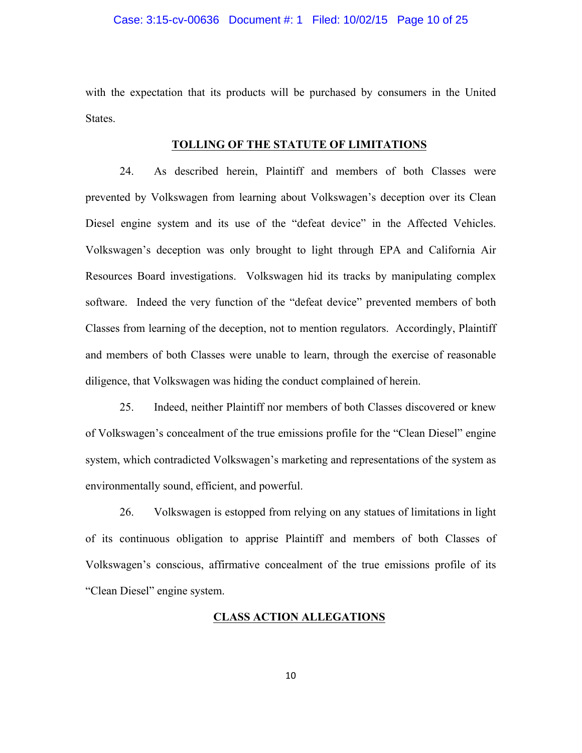with the expectation that its products will be purchased by consumers in the United States.

#### **TOLLING OF THE STATUTE OF LIMITATIONS**

24. As described herein, Plaintiff and members of both Classes were prevented by Volkswagen from learning about Volkswagen's deception over its Clean Diesel engine system and its use of the "defeat device" in the Affected Vehicles. Volkswagen's deception was only brought to light through EPA and California Air Resources Board investigations. Volkswagen hid its tracks by manipulating complex software. Indeed the very function of the "defeat device" prevented members of both Classes from learning of the deception, not to mention regulators. Accordingly, Plaintiff and members of both Classes were unable to learn, through the exercise of reasonable diligence, that Volkswagen was hiding the conduct complained of herein.

25. Indeed, neither Plaintiff nor members of both Classes discovered or knew of Volkswagen's concealment of the true emissions profile for the "Clean Diesel" engine system, which contradicted Volkswagen's marketing and representations of the system as environmentally sound, efficient, and powerful.

26. Volkswagen is estopped from relying on any statues of limitations in light of its continuous obligation to apprise Plaintiff and members of both Classes of Volkswagen's conscious, affirmative concealment of the true emissions profile of its "Clean Diesel" engine system.

### **CLASS ACTION ALLEGATIONS**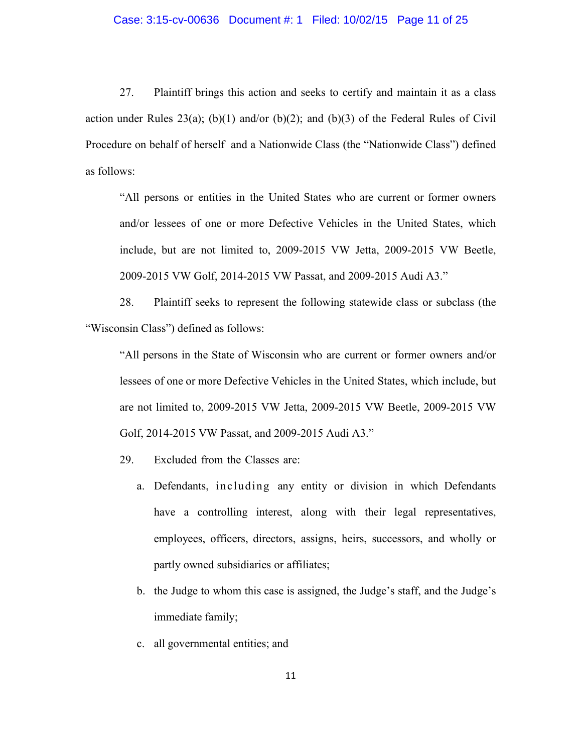# Case: 3:15-cv-00636 Document #: 1 Filed: 10/02/15 Page 11 of 25

27. Plaintiff brings this action and seeks to certify and maintain it as a class action under Rules 23(a); (b)(1) and/or (b)(2); and (b)(3) of the Federal Rules of Civil Procedure on behalf of herself and a Nationwide Class (the "Nationwide Class") defined as follows:

"All persons or entities in the United States who are current or former owners and/or lessees of one or more Defective Vehicles in the United States, which include, but are not limited to, 2009-2015 VW Jetta, 2009-2015 VW Beetle, 2009-2015 VW Golf, 2014-2015 VW Passat, and 2009-2015 Audi A3."

28. Plaintiff seeks to represent the following statewide class or subclass (the "Wisconsin Class") defined as follows:

"All persons in the State of Wisconsin who are current or former owners and/or lessees of one or more Defective Vehicles in the United States, which include, but are not limited to, 2009-2015 VW Jetta, 2009-2015 VW Beetle, 2009-2015 VW Golf, 2014-2015 VW Passat, and 2009-2015 Audi A3."

29. Excluded from the Classes are:

- a. Defendants, including any entity or division in which Defendants have a controlling interest, along with their legal representatives, employees, officers, directors, assigns, heirs, successors, and wholly or partly owned subsidiaries or affiliates;
- b. the Judge to whom this case is assigned, the Judge's staff, and the Judge's immediate family;
- c. all governmental entities; and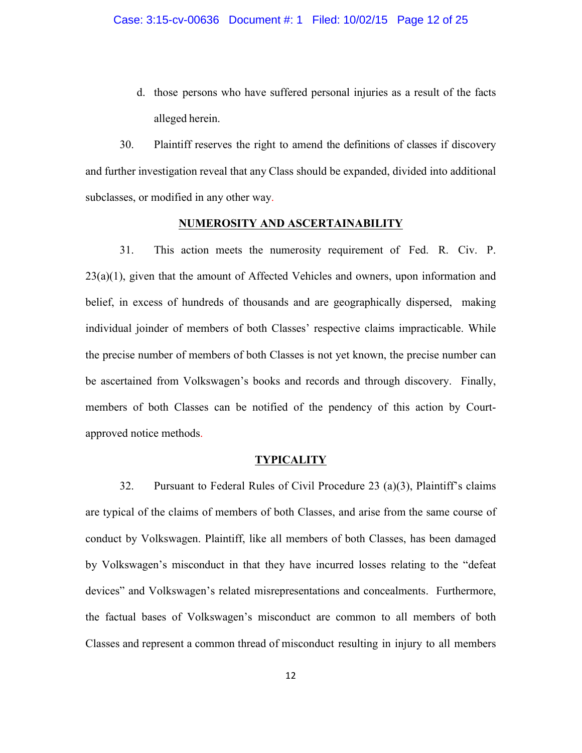d. those persons who have suffered personal injuries as a result of the facts alleged herein.

30. Plaintiff reserves the right to amend the definitions of classes if discovery and further investigation reveal that any Class should be expanded, divided into additional subclasses, or modified in any other way.

#### **NUMEROSITY AND ASCERTAINABILITY**

31. This action meets the numerosity requirement of Fed. R. Civ. P.  $23(a)(1)$ , given that the amount of Affected Vehicles and owners, upon information and belief, in excess of hundreds of thousands and are geographically dispersed, making individual joinder of members of both Classes' respective claims impracticable. While the precise number of members of both Classes is not yet known, the precise number can be ascertained from Volkswagen's books and records and through discovery. Finally, members of both Classes can be notified of the pendency of this action by Courtapproved notice methods.

#### **TYPICALITY**

32. Pursuant to Federal Rules of Civil Procedure 23 (a)(3), Plaintiff's claims are typical of the claims of members of both Classes, and arise from the same course of conduct by Volkswagen. Plaintiff, like all members of both Classes, has been damaged by Volkswagen's misconduct in that they have incurred losses relating to the "defeat devices" and Volkswagen's related misrepresentations and concealments. Furthermore, the factual bases of Volkswagen's misconduct are common to all members of both Classes and represent a common thread of misconduct resulting in injury to all members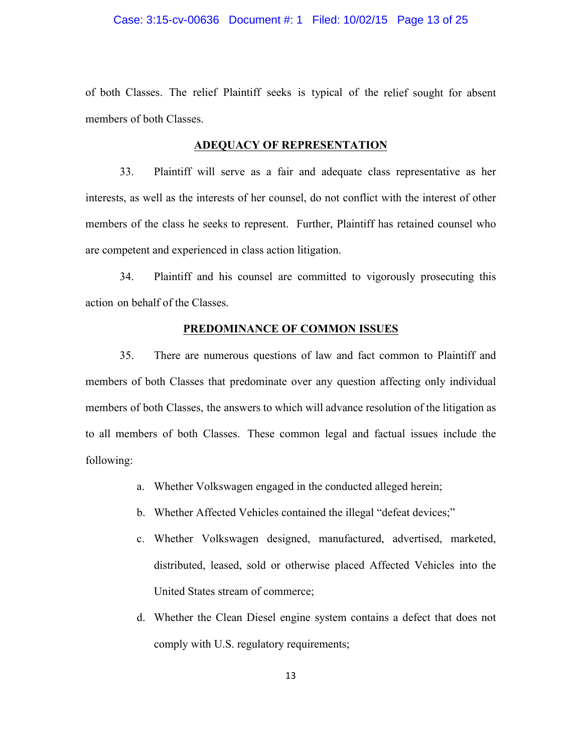#### Case: 3:15-cv-00636 Document #: 1 Filed: 10/02/15 Page 13 of 25

of both Classes. The relief Plaintiff seeks is typical of the relief sought for absent members of both Classes.

#### **ADEQUACY OF REPRESENTATION**

33. Plaintiff will serve as a fair and adequate class representative as her interests, as well as the interests of her counsel, do not conflict with the interest of other members of the class he seeks to represent. Further, Plaintiff has retained counsel who are competent and experienced in class action litigation.

34. Plaintiff and his counsel are committed to vigorously prosecuting this action on behalf of the Classes.

#### **PREDOMINANCE OF COMMON ISSUES**

35. There are numerous questions of law and fact common to Plaintiff and members of both Classes that predominate over any question affecting only individual members of both Classes, the answers to which will advance resolution of the litigation as to all members of both Classes. These common legal and factual issues include the following:

- a. Whether Volkswagen engaged in the conducted alleged herein;
- b. Whether Affected Vehicles contained the illegal "defeat devices;"
- c. Whether Volkswagen designed, manufactured, advertised, marketed, distributed, leased, sold or otherwise placed Affected Vehicles into the United States stream of commerce;
- d. Whether the Clean Diesel engine system contains a defect that does not comply with U.S. regulatory requirements;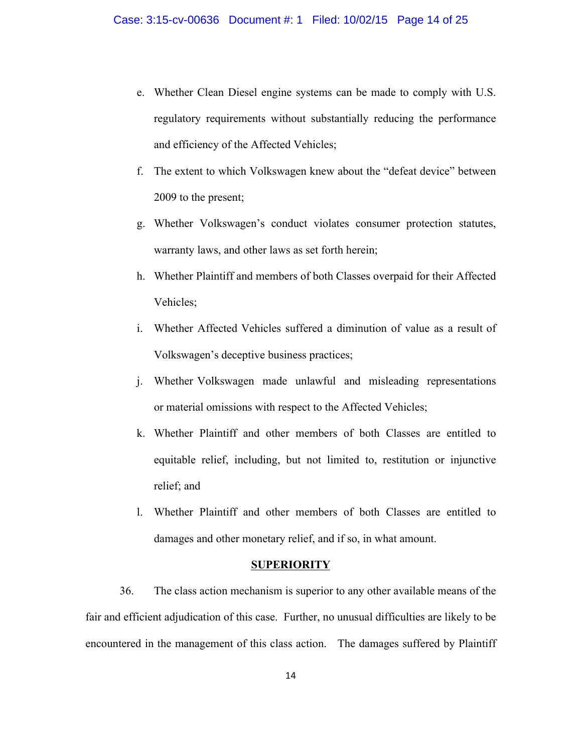- e. Whether Clean Diesel engine systems can be made to comply with U.S. regulatory requirements without substantially reducing the performance and efficiency of the Affected Vehicles;
- f. The extent to which Volkswagen knew about the "defeat device" between 2009 to the present;
- g. Whether Volkswagen's conduct violates consumer protection statutes, warranty laws, and other laws as set forth herein;
- h. Whether Plaintiff and members of both Classes overpaid for their Affected Vehicles;
- i. Whether Affected Vehicles suffered a diminution of value as a result of Volkswagen's deceptive business practices;
- j. Whether Volkswagen made unlawful and misleading representations or material omissions with respect to the Affected Vehicles;
- k. Whether Plaintiff and other members of both Classes are entitled to equitable relief, including, but not limited to, restitution or injunctive relief; and
- l. Whether Plaintiff and other members of both Classes are entitled to damages and other monetary relief, and if so, in what amount.

#### **SUPERIORITY**

36. The class action mechanism is superior to any other available means of the fair and efficient adjudication of this case. Further, no unusual difficulties are likely to be encountered in the management of this class action. The damages suffered by Plaintiff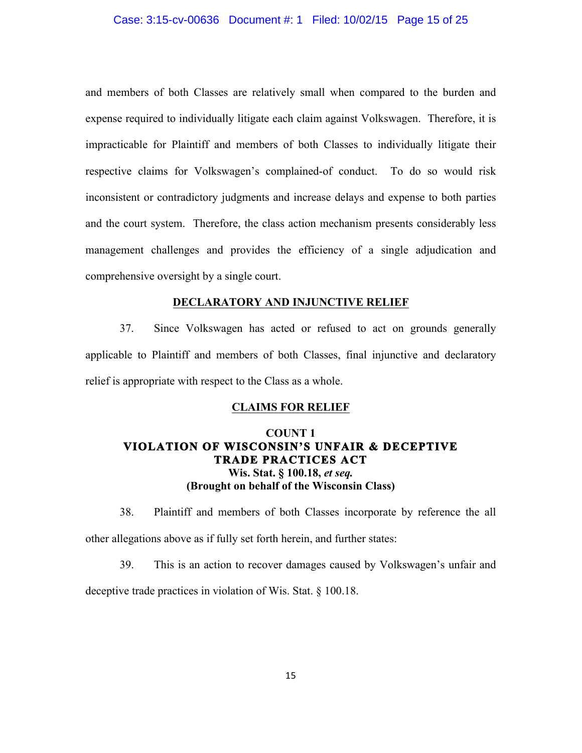#### Case: 3:15-cv-00636 Document #: 1 Filed: 10/02/15 Page 15 of 25

and members of both Classes are relatively small when compared to the burden and expense required to individually litigate each claim against Volkswagen. Therefore, it is impracticable for Plaintiff and members of both Classes to individually litigate their respective claims for Volkswagen's complained-of conduct. To do so would risk inconsistent or contradictory judgments and increase delays and expense to both parties and the court system. Therefore, the class action mechanism presents considerably less management challenges and provides the efficiency of a single adjudication and comprehensive oversight by a single court.

#### **DECLARATORY AND INJUNCTIVE RELIEF**

37. Since Volkswagen has acted or refused to act on grounds generally applicable to Plaintiff and members of both Classes, final injunctive and declaratory relief is appropriate with respect to the Class as a whole.

#### **CLAIMS FOR RELIEF**

# **COUNT 1 VIOLATION OF WISCONSIN'S UNFAIR & DECEPTIVE TRADE PRACTICES ACT Wis. Stat. § 100.18,** *et seq.* **(Brought on behalf of the Wisconsin Class)**

38. Plaintiff and members of both Classes incorporate by reference the all other allegations above as if fully set forth herein, and further states:

39. This is an action to recover damages caused by Volkswagen's unfair and deceptive trade practices in violation of Wis. Stat. § 100.18.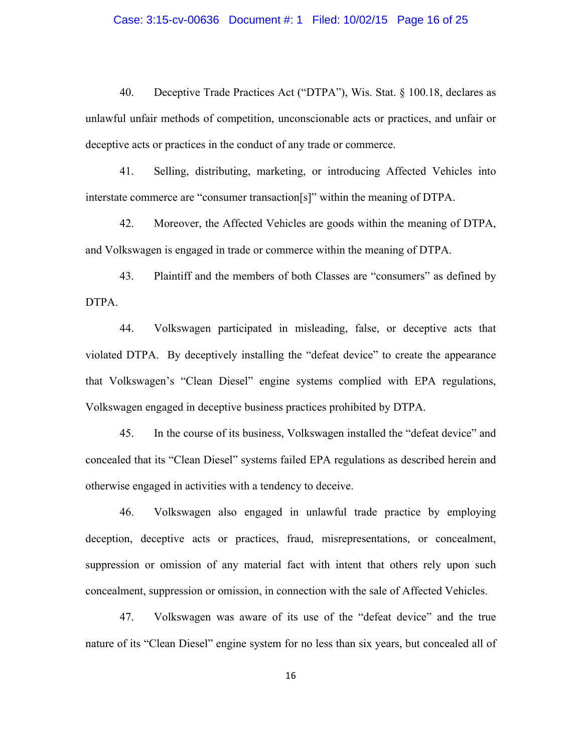# Case: 3:15-cv-00636 Document #: 1 Filed: 10/02/15 Page 16 of 25

40. Deceptive Trade Practices Act ("DTPA"), Wis. Stat. § 100.18, declares as unlawful unfair methods of competition, unconscionable acts or practices, and unfair or deceptive acts or practices in the conduct of any trade or commerce.

41. Selling, distributing, marketing, or introducing Affected Vehicles into interstate commerce are "consumer transaction[s]" within the meaning of DTPA.

42. Moreover, the Affected Vehicles are goods within the meaning of DTPA, and Volkswagen is engaged in trade or commerce within the meaning of DTPA.

43. Plaintiff and the members of both Classes are "consumers" as defined by DTPA.

44. Volkswagen participated in misleading, false, or deceptive acts that violated DTPA. By deceptively installing the "defeat device" to create the appearance that Volkswagen's "Clean Diesel" engine systems complied with EPA regulations, Volkswagen engaged in deceptive business practices prohibited by DTPA.

45. In the course of its business, Volkswagen installed the "defeat device" and concealed that its "Clean Diesel" systems failed EPA regulations as described herein and otherwise engaged in activities with a tendency to deceive.

46. Volkswagen also engaged in unlawful trade practice by employing deception, deceptive acts or practices, fraud, misrepresentations, or concealment, suppression or omission of any material fact with intent that others rely upon such concealment, suppression or omission, in connection with the sale of Affected Vehicles.

47. Volkswagen was aware of its use of the "defeat device" and the true nature of its "Clean Diesel" engine system for no less than six years, but concealed all of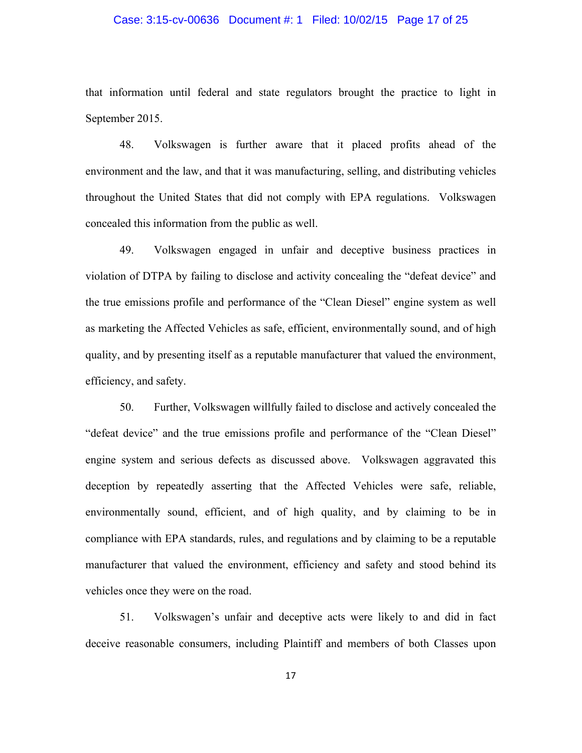# Case: 3:15-cv-00636 Document #: 1 Filed: 10/02/15 Page 17 of 25

that information until federal and state regulators brought the practice to light in September 2015.

48. Volkswagen is further aware that it placed profits ahead of the environment and the law, and that it was manufacturing, selling, and distributing vehicles throughout the United States that did not comply with EPA regulations. Volkswagen concealed this information from the public as well.

49. Volkswagen engaged in unfair and deceptive business practices in violation of DTPA by failing to disclose and activity concealing the "defeat device" and the true emissions profile and performance of the "Clean Diesel" engine system as well as marketing the Affected Vehicles as safe, efficient, environmentally sound, and of high quality, and by presenting itself as a reputable manufacturer that valued the environment, efficiency, and safety.

50. Further, Volkswagen willfully failed to disclose and actively concealed the "defeat device" and the true emissions profile and performance of the "Clean Diesel" engine system and serious defects as discussed above. Volkswagen aggravated this deception by repeatedly asserting that the Affected Vehicles were safe, reliable, environmentally sound, efficient, and of high quality, and by claiming to be in compliance with EPA standards, rules, and regulations and by claiming to be a reputable manufacturer that valued the environment, efficiency and safety and stood behind its vehicles once they were on the road.

51. Volkswagen's unfair and deceptive acts were likely to and did in fact deceive reasonable consumers, including Plaintiff and members of both Classes upon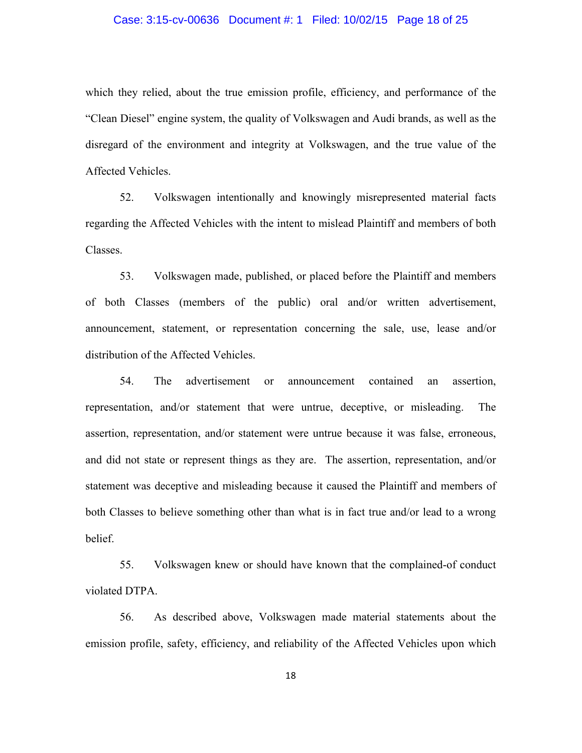# Case: 3:15-cv-00636 Document #: 1 Filed: 10/02/15 Page 18 of 25

which they relied, about the true emission profile, efficiency, and performance of the "Clean Diesel" engine system, the quality of Volkswagen and Audi brands, as well as the disregard of the environment and integrity at Volkswagen, and the true value of the Affected Vehicles.

52. Volkswagen intentionally and knowingly misrepresented material facts regarding the Affected Vehicles with the intent to mislead Plaintiff and members of both Classes.

53. Volkswagen made, published, or placed before the Plaintiff and members of both Classes (members of the public) oral and/or written advertisement, announcement, statement, or representation concerning the sale, use, lease and/or distribution of the Affected Vehicles.

54. The advertisement or announcement contained an assertion, representation, and/or statement that were untrue, deceptive, or misleading. The assertion, representation, and/or statement were untrue because it was false, erroneous, and did not state or represent things as they are. The assertion, representation, and/or statement was deceptive and misleading because it caused the Plaintiff and members of both Classes to believe something other than what is in fact true and/or lead to a wrong belief.

55. Volkswagen knew or should have known that the complained-of conduct violated DTPA.

56. As described above, Volkswagen made material statements about the emission profile, safety, efficiency, and reliability of the Affected Vehicles upon which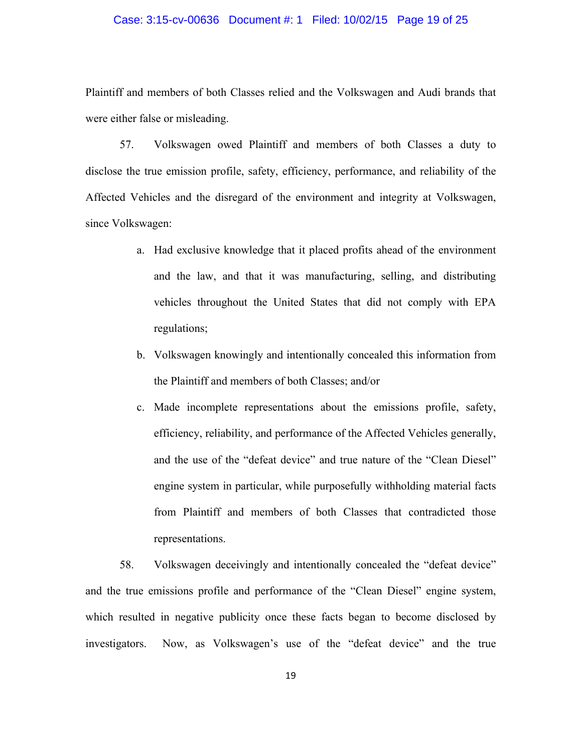#### Case: 3:15-cv-00636 Document #: 1 Filed: 10/02/15 Page 19 of 25

Plaintiff and members of both Classes relied and the Volkswagen and Audi brands that were either false or misleading.

57. Volkswagen owed Plaintiff and members of both Classes a duty to disclose the true emission profile, safety, efficiency, performance, and reliability of the Affected Vehicles and the disregard of the environment and integrity at Volkswagen, since Volkswagen:

- a. Had exclusive knowledge that it placed profits ahead of the environment and the law, and that it was manufacturing, selling, and distributing vehicles throughout the United States that did not comply with EPA regulations;
- b. Volkswagen knowingly and intentionally concealed this information from the Plaintiff and members of both Classes; and/or
- c. Made incomplete representations about the emissions profile, safety, efficiency, reliability, and performance of the Affected Vehicles generally, and the use of the "defeat device" and true nature of the "Clean Diesel" engine system in particular, while purposefully withholding material facts from Plaintiff and members of both Classes that contradicted those representations.

58. Volkswagen deceivingly and intentionally concealed the "defeat device" and the true emissions profile and performance of the "Clean Diesel" engine system, which resulted in negative publicity once these facts began to become disclosed by investigators. Now, as Volkswagen's use of the "defeat device" and the true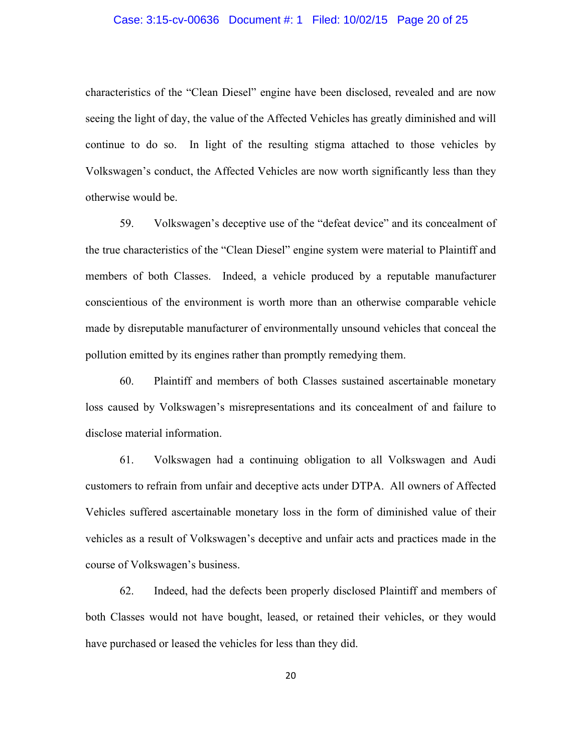# Case: 3:15-cv-00636 Document #: 1 Filed: 10/02/15 Page 20 of 25

characteristics of the "Clean Diesel" engine have been disclosed, revealed and are now seeing the light of day, the value of the Affected Vehicles has greatly diminished and will continue to do so. In light of the resulting stigma attached to those vehicles by Volkswagen's conduct, the Affected Vehicles are now worth significantly less than they otherwise would be.

59. Volkswagen's deceptive use of the "defeat device" and its concealment of the true characteristics of the "Clean Diesel" engine system were material to Plaintiff and members of both Classes. Indeed, a vehicle produced by a reputable manufacturer conscientious of the environment is worth more than an otherwise comparable vehicle made by disreputable manufacturer of environmentally unsound vehicles that conceal the pollution emitted by its engines rather than promptly remedying them.

60. Plaintiff and members of both Classes sustained ascertainable monetary loss caused by Volkswagen's misrepresentations and its concealment of and failure to disclose material information.

61. Volkswagen had a continuing obligation to all Volkswagen and Audi customers to refrain from unfair and deceptive acts under DTPA. All owners of Affected Vehicles suffered ascertainable monetary loss in the form of diminished value of their vehicles as a result of Volkswagen's deceptive and unfair acts and practices made in the course of Volkswagen's business.

62. Indeed, had the defects been properly disclosed Plaintiff and members of both Classes would not have bought, leased, or retained their vehicles, or they would have purchased or leased the vehicles for less than they did.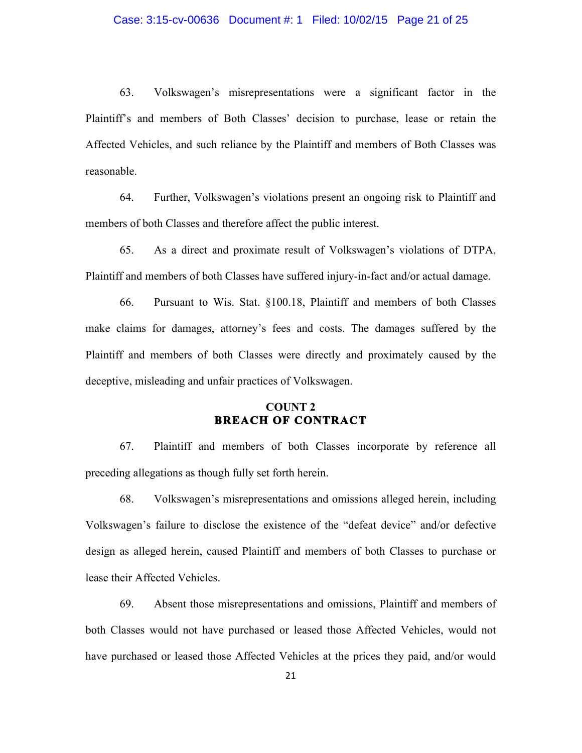#### Case: 3:15-cv-00636 Document #: 1 Filed: 10/02/15 Page 21 of 25

63. Volkswagen's misrepresentations were a significant factor in the Plaintiff's and members of Both Classes' decision to purchase, lease or retain the Affected Vehicles, and such reliance by the Plaintiff and members of Both Classes was reasonable.

64. Further, Volkswagen's violations present an ongoing risk to Plaintiff and members of both Classes and therefore affect the public interest.

65. As a direct and proximate result of Volkswagen's violations of DTPA, Plaintiff and members of both Classes have suffered injury-in-fact and/or actual damage.

66. Pursuant to Wis. Stat. §100.18, Plaintiff and members of both Classes make claims for damages, attorney's fees and costs. The damages suffered by the Plaintiff and members of both Classes were directly and proximately caused by the deceptive, misleading and unfair practices of Volkswagen.

# **COUNT 2 BREACH OF CONTRACT**

67. Plaintiff and members of both Classes incorporate by reference all preceding allegations as though fully set forth herein.

68. Volkswagen's misrepresentations and omissions alleged herein, including Volkswagen's failure to disclose the existence of the "defeat device" and/or defective design as alleged herein, caused Plaintiff and members of both Classes to purchase or lease their Affected Vehicles.

69. Absent those misrepresentations and omissions, Plaintiff and members of both Classes would not have purchased or leased those Affected Vehicles, would not have purchased or leased those Affected Vehicles at the prices they paid, and/or would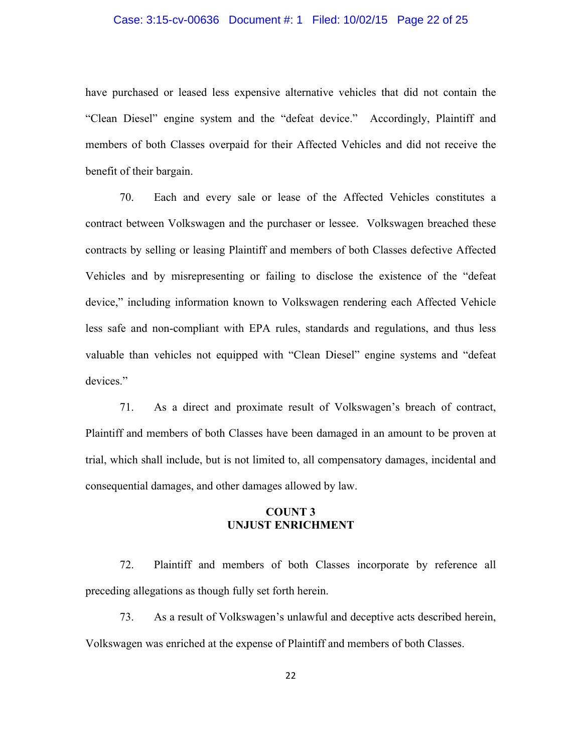#### Case: 3:15-cv-00636 Document #: 1 Filed: 10/02/15 Page 22 of 25

have purchased or leased less expensive alternative vehicles that did not contain the "Clean Diesel" engine system and the "defeat device." Accordingly, Plaintiff and members of both Classes overpaid for their Affected Vehicles and did not receive the benefit of their bargain.

70. Each and every sale or lease of the Affected Vehicles constitutes a contract between Volkswagen and the purchaser or lessee. Volkswagen breached these contracts by selling or leasing Plaintiff and members of both Classes defective Affected Vehicles and by misrepresenting or failing to disclose the existence of the "defeat device," including information known to Volkswagen rendering each Affected Vehicle less safe and non-compliant with EPA rules, standards and regulations, and thus less valuable than vehicles not equipped with "Clean Diesel" engine systems and "defeat devices."

71. As a direct and proximate result of Volkswagen's breach of contract, Plaintiff and members of both Classes have been damaged in an amount to be proven at trial, which shall include, but is not limited to, all compensatory damages, incidental and consequential damages, and other damages allowed by law.

# **COUNT 3 UNJUST ENRICHMENT**

72. Plaintiff and members of both Classes incorporate by reference all preceding allegations as though fully set forth herein.

73. As a result of Volkswagen's unlawful and deceptive acts described herein, Volkswagen was enriched at the expense of Plaintiff and members of both Classes.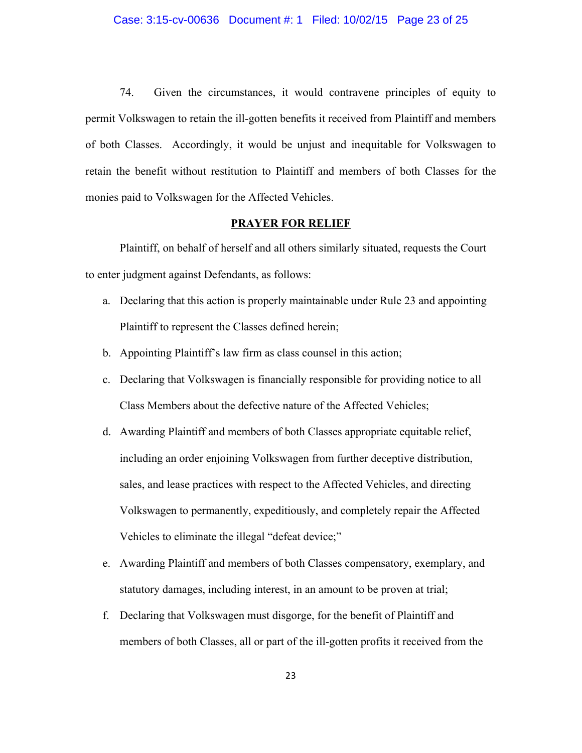#### Case: 3:15-cv-00636 Document #: 1 Filed: 10/02/15 Page 23 of 25

74. Given the circumstances, it would contravene principles of equity to permit Volkswagen to retain the ill-gotten benefits it received from Plaintiff and members of both Classes. Accordingly, it would be unjust and inequitable for Volkswagen to retain the benefit without restitution to Plaintiff and members of both Classes for the monies paid to Volkswagen for the Affected Vehicles.

#### **PRAYER FOR RELIEF**

Plaintiff, on behalf of herself and all others similarly situated, requests the Court to enter judgment against Defendants, as follows:

- a. Declaring that this action is properly maintainable under Rule 23 and appointing Plaintiff to represent the Classes defined herein;
- b. Appointing Plaintiff's law firm as class counsel in this action;
- c. Declaring that Volkswagen is financially responsible for providing notice to all Class Members about the defective nature of the Affected Vehicles;
- d. Awarding Plaintiff and members of both Classes appropriate equitable relief, including an order enjoining Volkswagen from further deceptive distribution, sales, and lease practices with respect to the Affected Vehicles, and directing Volkswagen to permanently, expeditiously, and completely repair the Affected Vehicles to eliminate the illegal "defeat device;"
- e. Awarding Plaintiff and members of both Classes compensatory, exemplary, and statutory damages, including interest, in an amount to be proven at trial;
- f. Declaring that Volkswagen must disgorge, for the benefit of Plaintiff and members of both Classes, all or part of the ill-gotten profits it received from the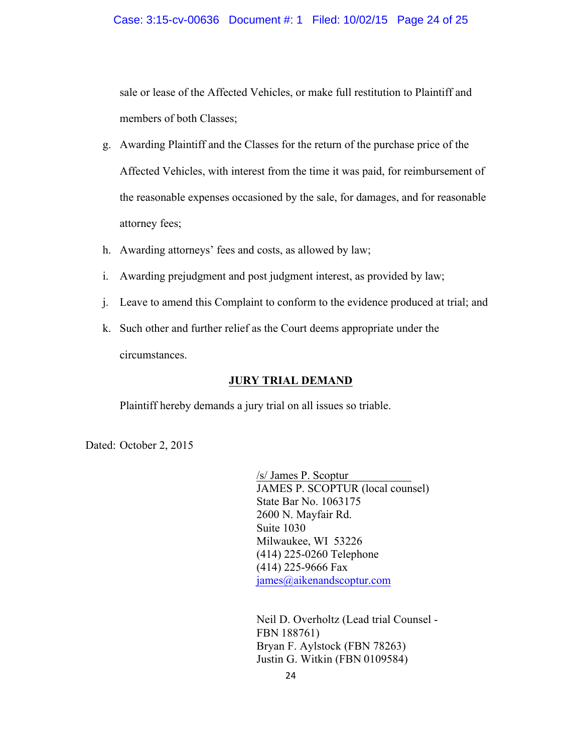#### Case: 3:15-cv-00636 Document #: 1 Filed: 10/02/15 Page 24 of 25

sale or lease of the Affected Vehicles, or make full restitution to Plaintiff and members of both Classes;

- g. Awarding Plaintiff and the Classes for the return of the purchase price of the Affected Vehicles, with interest from the time it was paid, for reimbursement of the reasonable expenses occasioned by the sale, for damages, and for reasonable attorney fees;
- h. Awarding attorneys' fees and costs, as allowed by law;
- i. Awarding prejudgment and post judgment interest, as provided by law;
- j. Leave to amend this Complaint to conform to the evidence produced at trial; and
- k. Such other and further relief as the Court deems appropriate under the circumstances.

### **JURY TRIAL DEMAND**

Plaintiff hereby demands a jury trial on all issues so triable.

Dated: October 2, 2015

/s/ James P. Scoptur\_\_\_\_\_\_\_\_\_\_\_ JAMES P. SCOPTUR (local counsel) State Bar No. 1063175 2600 N. Mayfair Rd. Suite 1030 Milwaukee, WI 53226 (414) 225-0260 Telephone (414) 225-9666 Fax james@aikenandscoptur.com

Neil D. Overholtz (Lead trial Counsel - FBN 188761) Bryan F. Aylstock (FBN 78263) Justin G. Witkin (FBN 0109584)

24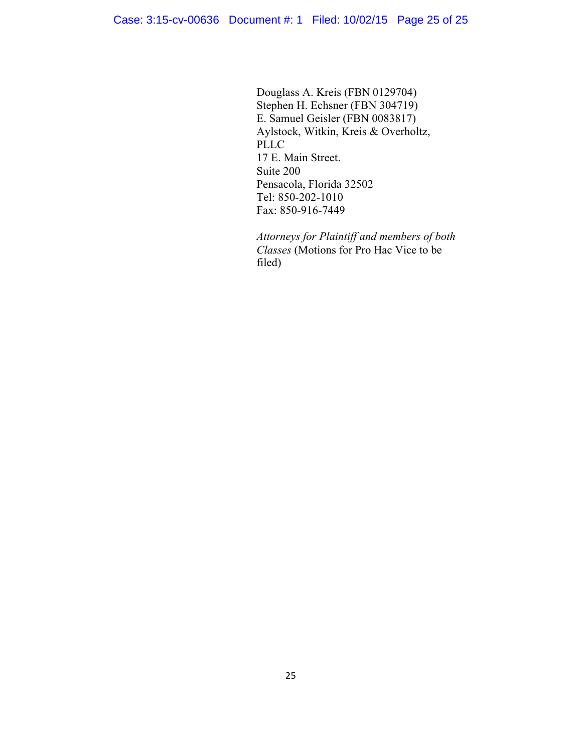Douglass A. Kreis (FBN 0129704) Stephen H. Echsner (FBN 304719) E. Samuel Geisler (FBN 0083817) Aylstock, Witkin, Kreis & Overholtz, PLLC 17 E. Main Street. Suite 200 Pensacola, Florida 32502 Tel: 850-202-1010 Fax: 850-916-7449

*Attorneys for Plaintiff and members of both Classes* (Motions for Pro Hac Vice to be filed)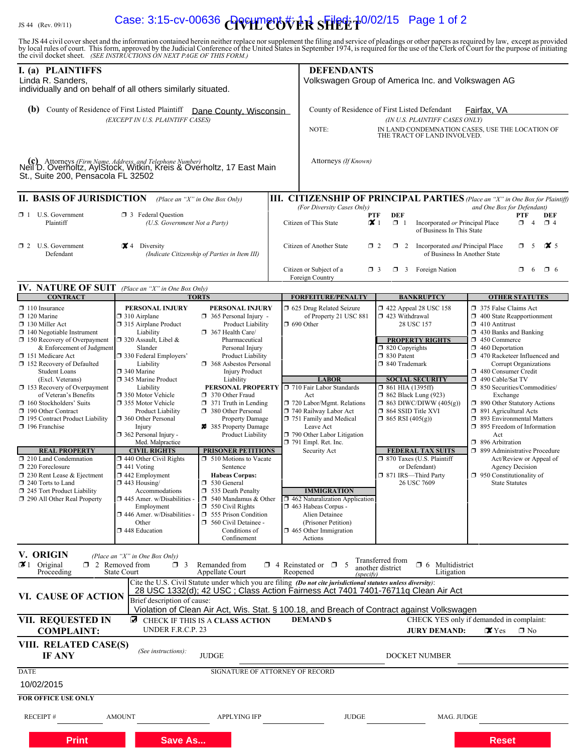# IS 44 (Rev. 09/11) **Case: 3:15-cv-00636 AVILLEOVER SHEET** 10/02/15 Page 1 of 2

The JS 44 civil cover sheet and the information contained herein neither replace nor supplement the filing and service of pleadings or other papers as required by law, except as provided<br>by local rules of court. This form,

| I. (a) PLAINTIFFS<br>Lindá R. Sanders,<br>individually and on behalf of all others similarly situated.                                                                                                                                 |                                                                                                                                                                                                                                                                  |                                                                                                                                                                                                                                                                                     |                  | <b>DEFENDANTS</b><br>Volkswagen Group of America Inc. and Volkswagen AG                                                                                                                           |                                                                                 |                                                                                                                       |                                                                                                                                                                                                                                                |
|----------------------------------------------------------------------------------------------------------------------------------------------------------------------------------------------------------------------------------------|------------------------------------------------------------------------------------------------------------------------------------------------------------------------------------------------------------------------------------------------------------------|-------------------------------------------------------------------------------------------------------------------------------------------------------------------------------------------------------------------------------------------------------------------------------------|------------------|---------------------------------------------------------------------------------------------------------------------------------------------------------------------------------------------------|---------------------------------------------------------------------------------|-----------------------------------------------------------------------------------------------------------------------|------------------------------------------------------------------------------------------------------------------------------------------------------------------------------------------------------------------------------------------------|
| (b) County of Residence of First Listed Plaintiff                                                                                                                                                                                      | (EXCEPT IN U.S. PLAINTIFF CASES)                                                                                                                                                                                                                                 | Dane County, Wisconsin                                                                                                                                                                                                                                                              |                  | County of Residence of First Listed Defendant<br>NOTE:                                                                                                                                            |                                                                                 | (IN U.S. PLAINTIFF CASES ONLY)<br>THE TRACT OF LAND INVOLVED.                                                         | Fairfax, VA<br>IN LAND CONDEMNATION CASES, USE THE LOCATION OF                                                                                                                                                                                 |
| Neffb. Uven võit "Aytstock, Witkin, Kresse & Werenotz, 17 East Main<br>St., Suite 200, Pensacola FL 32502                                                                                                                              |                                                                                                                                                                                                                                                                  |                                                                                                                                                                                                                                                                                     |                  | Attorneys (If Known)                                                                                                                                                                              |                                                                                 |                                                                                                                       |                                                                                                                                                                                                                                                |
| <b>II. BASIS OF JURISDICTION</b>                                                                                                                                                                                                       |                                                                                                                                                                                                                                                                  | (Place an "X" in One Box Only)                                                                                                                                                                                                                                                      |                  |                                                                                                                                                                                                   |                                                                                 |                                                                                                                       | III. CITIZENSHIP OF PRINCIPAL PARTIES (Place an "X" in One Box for Plaintiff)                                                                                                                                                                  |
| U.S. Government<br>$\Box$ 1<br>Plaintiff                                                                                                                                                                                               | <b>3</b> Federal Question<br>(U.S. Government Not a Party)                                                                                                                                                                                                       |                                                                                                                                                                                                                                                                                     |                  | (For Diversity Cases Only)<br>Citizen of This State                                                                                                                                               | <b>DEF</b><br>PTF<br>$\mathsf{X}$<br>$\Box$ 1                                   | Incorporated or Principal Place<br>of Business In This State                                                          | and One Box for Defendant)<br>PTF<br><b>DEF</b><br>$\Box$ 4<br>$\Box$ 4                                                                                                                                                                        |
| $\Box$ 2 U.S. Government<br>Defendant                                                                                                                                                                                                  | $\mathbf{\times}$ 4 Diversity                                                                                                                                                                                                                                    | (Indicate Citizenship of Parties in Item III)                                                                                                                                                                                                                                       |                  | Citizen of Another State<br>Citizen or Subject of a                                                                                                                                               | $\Box$ 2<br>$\Box$ 2<br>$\Box$ 3                                                | Incorporated and Principal Place<br>of Business In Another State<br>$\Box$ 3 Foreign Nation                           | $\mathbf{X}$ 5<br>$\Box$<br>- 5<br>$\Box$<br>-6<br>$\Box$ 6                                                                                                                                                                                    |
|                                                                                                                                                                                                                                        |                                                                                                                                                                                                                                                                  |                                                                                                                                                                                                                                                                                     |                  | Foreign Country                                                                                                                                                                                   |                                                                                 |                                                                                                                       |                                                                                                                                                                                                                                                |
| <b>IV. NATURE OF SUIT</b> (Place an "X" in One Box Only)<br><b>CONTRACT</b>                                                                                                                                                            |                                                                                                                                                                                                                                                                  | <b>TORTS</b>                                                                                                                                                                                                                                                                        |                  | <b>FORFEITURE/PENALTY</b>                                                                                                                                                                         |                                                                                 | <b>BANKRUPTCY</b>                                                                                                     | <b>OTHER STATUTES</b>                                                                                                                                                                                                                          |
| $\Box$ 110 Insurance<br>$\Box$ 120 Marine<br>130 Miller Act<br>140 Negotiable Instrument<br>$\Box$ 150 Recovery of Overpayment<br>& Enforcement of Judgment<br>151 Medicare Act<br>□ 152 Recovery of Defaulted<br><b>Student Loans</b> | PERSONAL INJURY<br>$\Box$ 310 Airplane<br>315 Airplane Product<br>Liability<br>$\Box$ 320 Assault, Libel &<br>Slander<br>□ 330 Federal Employers'<br>Liability<br>$\square$ 340 Marine                                                                           | PERSONAL INJURY<br>$\Box$ 365 Personal Injury -<br>Product Liability<br>367 Health Care/<br>Pharmaceutical<br>Personal Injury<br>Product Liability<br>368 Asbestos Personal<br><b>Injury Product</b>                                                                                | $\Box$ 690 Other | □ 625 Drug Related Seizure<br>of Property 21 USC 881                                                                                                                                              | □ 423 Withdrawal<br>$\Box$ 820 Copyrights<br>□ 830 Patent<br>□ 840 Trademark    | 1422 Appeal 28 USC 158<br>28 USC 157<br><b>PROPERTY RIGHTS</b>                                                        | 375 False Claims Act<br>$\Box$ 400 State Reapportionment<br>$\Box$ 410 Antitrust<br>$\Box$ 430 Banks and Banking<br>1 450 Commerce<br>$\Box$ 460 Deportation<br>□ 470 Racketeer Influenced and<br>Corrupt Organizations<br>480 Consumer Credit |
| (Excl. Veterans)<br>$\Box$ 153 Recovery of Overpayment<br>of Veteran's Benefits<br>160 Stockholders' Suits<br>190 Other Contract<br>195 Contract Product Liability<br>$\Box$ 196 Franchise                                             | 345 Marine Product<br>Liability<br>□ 350 Motor Vehicle<br>355 Motor Vehicle<br><b>Product Liability</b><br>360 Other Personal<br>Injury<br>$\Box$ 362 Personal Injury -<br>Med. Malpractice                                                                      | Liability<br>PERSONAL PROPERTY<br>370 Other Fraud<br>$\Box$ 371 Truth in Lending<br>380 Other Personal<br>Property Damage<br>385 Property Damage<br>Product Liability                                                                                                               | Act              | <b>LABOR</b><br>710 Fair Labor Standards<br>720 Labor/Mgmt. Relations<br>740 Railway Labor Act<br>751 Family and Medical<br>Leave Act<br>790 Other Labor Litigation<br>$\Box$ 791 Empl. Ret. Inc. | $\Box$ 861 HIA (1395ff)<br>$\Box$ 864 SSID Title XVI<br>$\Box$ 865 RSI (405(g)) | <b>SOCIAL SECURITY</b><br>$\Box$ 862 Black Lung (923)<br>$\Box$ 863 DIWC/DIWW (405(g))                                | 490 Cable/Sat TV<br>□ 850 Securities/Commodities/<br>Exchange<br>1 890 Other Statutory Actions<br>$\Box$ 891 Agricultural Acts<br>1 893 Environmental Matters<br>$\Box$ 895 Freedom of Information<br>Act<br>□ 896 Arbitration                 |
| <b>REAL PROPERTY</b><br>$\Box$ 210 Land Condemnation<br>$\Box$ 220 Foreclosure<br>$\Box$ 230 Rent Lease & Ejectment<br>240 Torts to Land<br>245 Tort Product Liability<br>□ 290 All Other Real Property                                | <b>CIVIL RIGHTS</b><br>$\Box$ 440 Other Civil Rights<br>$\Box$ 441 Voting<br>$\Box$ 442 Employment<br>$\Box$ 443 Housing/<br>Accommodations<br>$\Box$ 445 Amer. w/Disabilities -<br>Employment<br>$\square$ 446 Amer. w/Disabilities -<br>Other<br>448 Education | <b>PRISONER PETITIONS</b><br>$\Box$ 510 Motions to Vacate<br>Sentence<br><b>Habeas Corpus:</b><br>$\Box$ 530 General<br>535 Death Penalty<br>$\Box$ 540 Mandamus & Other<br>$\Box$ 550 Civil Rights<br>555 Prison Condition<br>560 Civil Detainee -<br>Conditions of<br>Confinement |                  | Security Act<br><b>IMMIGRATION</b><br>$\Box$ 462 Naturalization Application<br>1463 Habeas Corpus -<br>Alien Detainee<br>(Prisoner Petition)<br>$\Box$ 465 Other Immigration<br>Actions           |                                                                                 | <b>FEDERAL TAX SUITS</b><br>$\Box$ 870 Taxes (U.S. Plaintiff<br>or Defendant)<br>□ 871 IRS-Third Party<br>26 USC 7609 | □ 899 Administrative Procedure<br>Act/Review or Appeal of<br><b>Agency Decision</b><br>$\Box$ 950 Constitutionality of<br><b>State Statutes</b>                                                                                                |
| V. ORIGIN<br>$\mathbf{X}$ 1 Original<br>Proceeding                                                                                                                                                                                     | (Place an "X" in One Box Only)<br>$\Box$ 2 Removed from<br>$\Box$ 3<br><b>State Court</b>                                                                                                                                                                        | Remanded from<br>Appellate Court<br>Cite the U.S. Civil Statute under which you are filing (Do not cite jurisdictional statutes unless diversity):                                                                                                                                  | Reopened         | $\Box$ 4 Reinstated or $\Box$ 5<br>(specify)                                                                                                                                                      | Transferred from<br>another district                                            | $\Box$ 6 Multidistrict<br>Litigation                                                                                  |                                                                                                                                                                                                                                                |
| <b>VI. CAUSE OF ACTION</b>                                                                                                                                                                                                             | Brief description of cause:                                                                                                                                                                                                                                      | 28 USC 1332(d); 42 USC; Class Action Fairness Act 7401 7401-76711q Clean Air Act<br>Violation of Clean Air Act, Wis. Stat. § 100.18, and Breach of Contract against Volkswagen                                                                                                      |                  |                                                                                                                                                                                                   |                                                                                 |                                                                                                                       |                                                                                                                                                                                                                                                |
| <b>VII. REQUESTED IN</b><br><b>COMPLAINT:</b>                                                                                                                                                                                          | $\Box$<br>UNDER F.R.C.P. 23                                                                                                                                                                                                                                      | CHECK IF THIS IS A CLASS ACTION                                                                                                                                                                                                                                                     |                  | <b>DEMANDS</b>                                                                                                                                                                                    |                                                                                 | <b>JURY DEMAND:</b>                                                                                                   | CHECK YES only if demanded in complaint:<br>$\mathbf{X}$ Yes<br>$\Box$ No                                                                                                                                                                      |
| VIII. RELATED CASE(S)<br>IF ANY                                                                                                                                                                                                        | (See instructions):                                                                                                                                                                                                                                              | <b>JUDGE</b>                                                                                                                                                                                                                                                                        |                  |                                                                                                                                                                                                   |                                                                                 | DOCKET NUMBER                                                                                                         |                                                                                                                                                                                                                                                |
| <b>DATE</b><br>10/02/2015<br><b>FOR OFFICE USE ONLY</b>                                                                                                                                                                                |                                                                                                                                                                                                                                                                  | SIGNATURE OF ATTORNEY OF RECORD                                                                                                                                                                                                                                                     |                  |                                                                                                                                                                                                   |                                                                                 |                                                                                                                       |                                                                                                                                                                                                                                                |
| <b>RECEIPT#</b>                                                                                                                                                                                                                        | <b>AMOUNT</b>                                                                                                                                                                                                                                                    | <b>APPLYING IFP</b>                                                                                                                                                                                                                                                                 |                  | <b>JUDGE</b>                                                                                                                                                                                      |                                                                                 | MAG. JUDGE                                                                                                            |                                                                                                                                                                                                                                                |
| Print                                                                                                                                                                                                                                  | Save As                                                                                                                                                                                                                                                          |                                                                                                                                                                                                                                                                                     |                  |                                                                                                                                                                                                   |                                                                                 |                                                                                                                       | Reset                                                                                                                                                                                                                                          |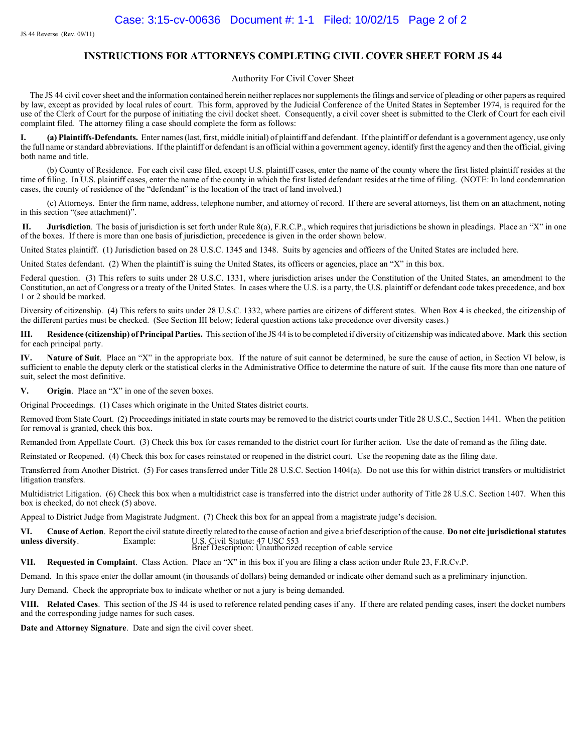#### **INSTRUCTIONS FOR ATTORNEYS COMPLETING CIVIL COVER SHEET FORM JS 44**

#### Authority For Civil Cover Sheet

The JS 44 civil cover sheet and the information contained herein neither replaces nor supplements the filings and service of pleading or other papers as required by law, except as provided by local rules of court. This form, approved by the Judicial Conference of the United States in September 1974, is required for the use of the Clerk of Court for the purpose of initiating the civil docket sheet. Consequently, a civil cover sheet is submitted to the Clerk of Court for each civil complaint filed. The attorney filing a case should complete the form as follows:

**I. (a) Plaintiffs-Defendants.** Enter names (last, first, middle initial) of plaintiff and defendant. If the plaintiff or defendant is a government agency, use only the full name or standard abbreviations. If the plaintiff or defendant is an official within a government agency, identify first the agency and then the official, giving both name and title.

(b) County of Residence. For each civil case filed, except U.S. plaintiff cases, enter the name of the county where the first listed plaintiff resides at the time of filing. In U.S. plaintiff cases, enter the name of the county in which the first listed defendant resides at the time of filing. (NOTE: In land condemnation cases, the county of residence of the "defendant" is the location of the tract of land involved.)

(c) Attorneys. Enter the firm name, address, telephone number, and attorney of record. If there are several attorneys, list them on an attachment, noting in this section "(see attachment)".

 **II. Jurisdiction**. The basis of jurisdiction is set forth under Rule 8(a), F.R.C.P., which requires that jurisdictions be shown in pleadings. Place an "X" in one of the boxes. If there is more than one basis of jurisdiction, precedence is given in the order shown below.

United States plaintiff. (1) Jurisdiction based on 28 U.S.C. 1345 and 1348. Suits by agencies and officers of the United States are included here.

United States defendant. (2) When the plaintiff is suing the United States, its officers or agencies, place an "X" in this box.

Federal question. (3) This refers to suits under 28 U.S.C. 1331, where jurisdiction arises under the Constitution of the United States, an amendment to the Constitution, an act of Congress or a treaty of the United States. In cases where the U.S. is a party, the U.S. plaintiff or defendant code takes precedence, and box 1 or 2 should be marked.

Diversity of citizenship. (4) This refers to suits under 28 U.S.C. 1332, where parties are citizens of different states. When Box 4 is checked, the citizenship of the different parties must be checked. (See Section III below; federal question actions take precedence over diversity cases.)

**III. Residence (citizenship) of Principal Parties.** This section of the JS 44 is to be completed if diversity of citizenship was indicated above. Mark this section for each principal party.

**IV. Nature of Suit**. Place an "X" in the appropriate box. If the nature of suit cannot be determined, be sure the cause of action, in Section VI below, is sufficient to enable the deputy clerk or the statistical clerks in the Administrative Office to determine the nature of suit. If the cause fits more than one nature of suit, select the most definitive.

**V. Origin**. Place an "X" in one of the seven boxes.

Original Proceedings. (1) Cases which originate in the United States district courts.

Removed from State Court. (2) Proceedings initiated in state courts may be removed to the district courts under Title 28 U.S.C., Section 1441. When the petition for removal is granted, check this box.

Remanded from Appellate Court. (3) Check this box for cases remanded to the district court for further action. Use the date of remand as the filing date.

Reinstated or Reopened. (4) Check this box for cases reinstated or reopened in the district court. Use the reopening date as the filing date.

Transferred from Another District. (5) For cases transferred under Title 28 U.S.C. Section 1404(a). Do not use this for within district transfers or multidistrict litigation transfers.

Multidistrict Litigation. (6) Check this box when a multidistrict case is transferred into the district under authority of Title 28 U.S.C. Section 1407. When this box is checked, do not check (5) above.

Appeal to District Judge from Magistrate Judgment. (7) Check this box for an appeal from a magistrate judge's decision.

**VI. Cause of Action**. Report the civil statute directly related to the cause of action and give a brief description of the cause. **Do not cite jurisdictional statutes unless diversity.** Example: U.S. Civil Statute: 47 USC 553 Brief Description: Unauthorized reception of cable service

**VII. Requested in Complaint**. Class Action. Place an "X" in this box if you are filing a class action under Rule 23, F.R.Cv.P.

Demand. In this space enter the dollar amount (in thousands of dollars) being demanded or indicate other demand such as a preliminary injunction.

Jury Demand. Check the appropriate box to indicate whether or not a jury is being demanded.

**VIII. Related Cases**. This section of the JS 44 is used to reference related pending cases if any. If there are related pending cases, insert the docket numbers and the corresponding judge names for such cases.

**Date and Attorney Signature**. Date and sign the civil cover sheet.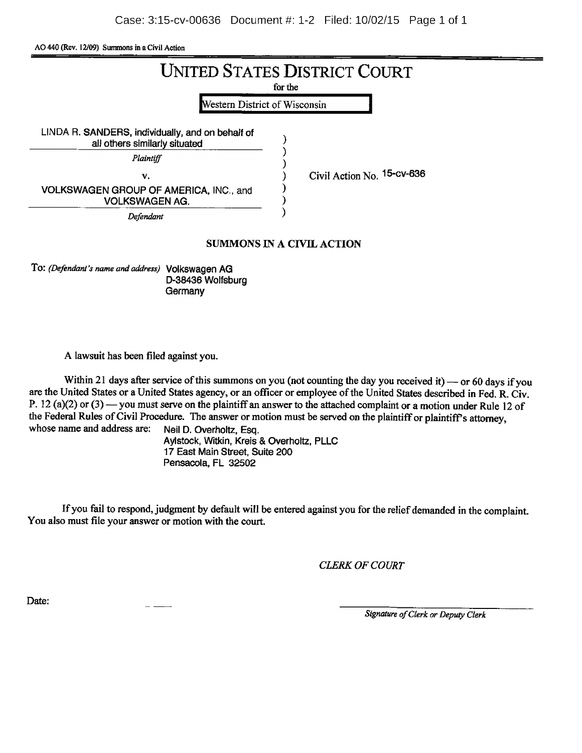A0440 (Rev. 12/09) Summons in <sup>a</sup> Civil Action

|                                                                                   | <b>UNITED STATES DISTRICT COURT</b><br>for the |
|-----------------------------------------------------------------------------------|------------------------------------------------|
| Western District of Wisconsin                                                     |                                                |
| LINDA R. SANDERS, individually, and on behalf of<br>all others similarly situated |                                                |
| Plaintiff                                                                         |                                                |
| V.                                                                                | Civil Action No. $15$ -CV-636                  |
| VOLKSWAGEN GROUP OF AMERICA, INC., and<br><b>VOLKSWAGEN AG.</b>                   |                                                |
| Defendant                                                                         |                                                |
|                                                                                   | SUMMONS IN A CIVIL ACTION                      |
| To: (Defendant's name and address) Volkswagen AG                                  |                                                |

D-38436 Wolfsburg **Germany** 

A lawsuit has been filed against you.

Within 21 days after service of this summons on you (not counting the day you received it) — or 60 days if you are the United States or a United States agency, or an officer or employee of the United States described in Fed. R. Civ. P. 12 (a)(2) or (3) — you must serve on the plaintiff an answer to the attached complaint or a motion under Rule 12 of the Federal Rules of Civil Procedure. The answer or motion must be served on the plaintiff or plaintiff's attorney, whose name and address are: Neil D. Overholtz, Esq. whose name and address are:

Aylstock, Witkin, Kreis & Overholtz, PLLC 17 East Main Street, Suite 200 Pensacola, FL 32502

If you fail to respond, judgment by default will be entered against you for the relief demanded in the complaint. You also must file your answer or motion with the court.

CLERK OF COURT

Date:

Signature of Clerk or Deputy Clerk